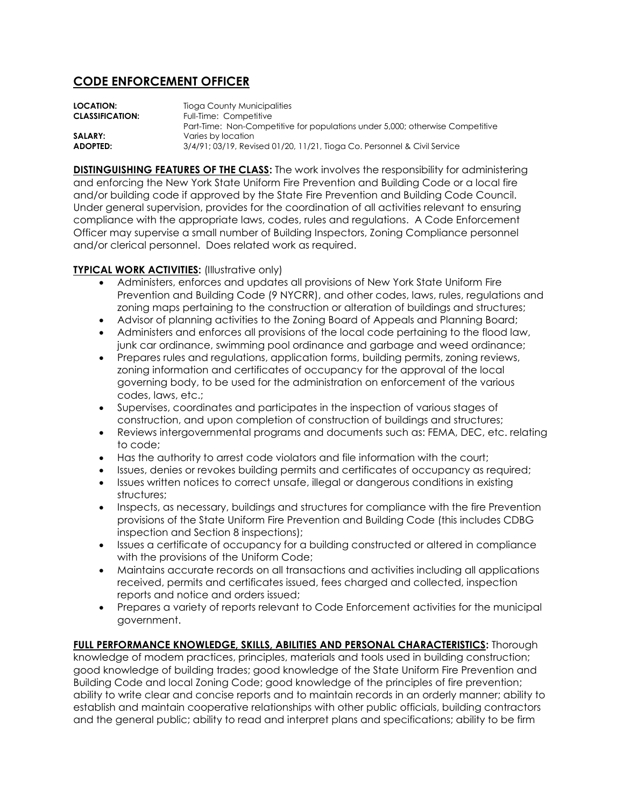## **CODE ENFORCEMENT OFFICER**

| LOCATION:              | Tioga County Municipalities                                                   |
|------------------------|-------------------------------------------------------------------------------|
| <b>CLASSIFICATION:</b> | Full-Time: Competitive                                                        |
|                        | Part-Time: Non-Competitive for populations under 5,000; otherwise Competitive |
| <b>SALARY:</b>         | Varies by location                                                            |
| ADOPTED:               | 3/4/91; 03/19, Revised 01/20, 11/21, Tioga Co. Personnel & Civil Service      |

**DISTINGUISHING FEATURES OF THE CLASS:** The work involves the responsibility for administering and enforcing the New York State Uniform Fire Prevention and Building Code or a local fire and/or building code if approved by the State Fire Prevention and Building Code Council. Under general supervision, provides for the coordination of all activities relevant to ensuring compliance with the appropriate laws, codes, rules and regulations. A Code Enforcement Officer may supervise a small number of Building Inspectors, Zoning Compliance personnel and/or clerical personnel. Does related work as required.

## **TYPICAL WORK ACTIVITIES: (Illustrative only)**

- Administers, enforces and updates all provisions of New York State Uniform Fire Prevention and Building Code (9 NYCRR), and other codes, laws, rules, regulations and zoning maps pertaining to the construction or alteration of buildings and structures;
- Advisor of planning activities to the Zoning Board of Appeals and Planning Board;
- Administers and enforces all provisions of the local code pertaining to the flood law, junk car ordinance, swimming pool ordinance and garbage and weed ordinance;
- Prepares rules and regulations, application forms, building permits, zoning reviews, zoning information and certificates of occupancy for the approval of the local governing body, to be used for the administration on enforcement of the various codes, laws, etc.;
- Supervises, coordinates and participates in the inspection of various stages of construction, and upon completion of construction of buildings and structures;
- Reviews intergovernmental programs and documents such as: FEMA, DEC, etc. relating to code;
- Has the authority to arrest code violators and file information with the court;
- Issues, denies or revokes building permits and certificates of occupancy as required;
- Issues written notices to correct unsafe, illegal or dangerous conditions in existing structures;
- Inspects, as necessary, buildings and structures for compliance with the fire Prevention provisions of the State Uniform Fire Prevention and Building Code (this includes CDBG inspection and Section 8 inspections);
- Issues a certificate of occupancy for a building constructed or altered in compliance with the provisions of the Uniform Code;
- Maintains accurate records on all transactions and activities including all applications received, permits and certificates issued, fees charged and collected, inspection reports and notice and orders issued;
- Prepares a variety of reports relevant to Code Enforcement activities for the municipal government.

**FULL PERFORMANCE KNOWLEDGE, SKILLS, ABILITIES AND PERSONAL CHARACTERISTICS:** Thorough knowledge of modem practices, principles, materials and tools used in building construction; good knowledge of building trades; good knowledge of the State Uniform Fire Prevention and Building Code and local Zoning Code; good knowledge of the principles of fire prevention; ability to write clear and concise reports and to maintain records in an orderly manner; ability to establish and maintain cooperative relationships with other public officials, building contractors and the general public; ability to read and interpret plans and specifications; ability to be firm